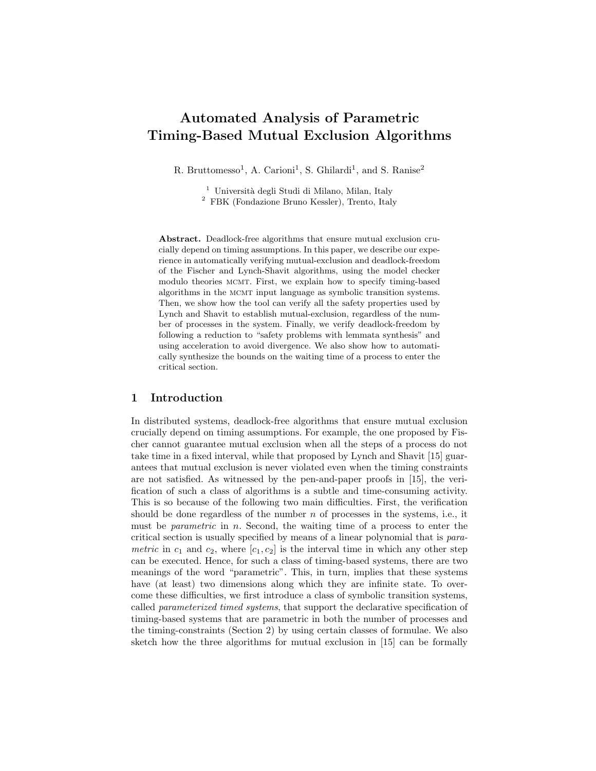# Automated Analysis of Parametric Timing-Based Mutual Exclusion Algorithms

R. Bruttomesso<sup>1</sup>, A. Carioni<sup>1</sup>, S. Ghilardi<sup>1</sup>, and S. Ranise<sup>2</sup>

<sup>1</sup> Università degli Studi di Milano, Milan, Italy <sup>2</sup> FBK (Fondazione Bruno Kessler), Trento, Italy

Abstract. Deadlock-free algorithms that ensure mutual exclusion crucially depend on timing assumptions. In this paper, we describe our experience in automatically verifying mutual-exclusion and deadlock-freedom of the Fischer and Lynch-Shavit algorithms, using the model checker modulo theories mcmt. First, we explain how to specify timing-based algorithms in the mcmt input language as symbolic transition systems. Then, we show how the tool can verify all the safety properties used by Lynch and Shavit to establish mutual-exclusion, regardless of the number of processes in the system. Finally, we verify deadlock-freedom by following a reduction to "safety problems with lemmata synthesis" and using acceleration to avoid divergence. We also show how to automatically synthesize the bounds on the waiting time of a process to enter the critical section.

#### 1 Introduction

In distributed systems, deadlock-free algorithms that ensure mutual exclusion crucially depend on timing assumptions. For example, the one proposed by Fischer cannot guarantee mutual exclusion when all the steps of a process do not take time in a fixed interval, while that proposed by Lynch and Shavit [15] guarantees that mutual exclusion is never violated even when the timing constraints are not satisfied. As witnessed by the pen-and-paper proofs in [15], the verification of such a class of algorithms is a subtle and time-consuming activity. This is so because of the following two main difficulties. First, the verification should be done regardless of the number  $n$  of processes in the systems, i.e., it must be parametric in n. Second, the waiting time of a process to enter the critical section is usually specified by means of a linear polynomial that is para*metric* in  $c_1$  and  $c_2$ , where  $[c_1, c_2]$  is the interval time in which any other step can be executed. Hence, for such a class of timing-based systems, there are two meanings of the word "parametric". This, in turn, implies that these systems have (at least) two dimensions along which they are infinite state. To overcome these difficulties, we first introduce a class of symbolic transition systems, called parameterized timed systems, that support the declarative specification of timing-based systems that are parametric in both the number of processes and the timing-constraints (Section 2) by using certain classes of formulae. We also sketch how the three algorithms for mutual exclusion in [15] can be formally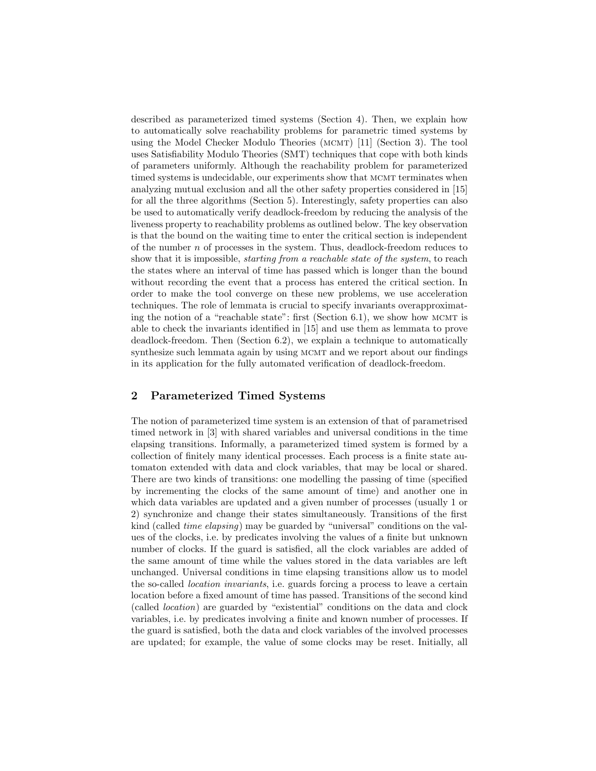described as parameterized timed systems (Section 4). Then, we explain how to automatically solve reachability problems for parametric timed systems by using the Model Checker Modulo Theories (MCMT) [11] (Section 3). The tool uses Satisfiability Modulo Theories (SMT) techniques that cope with both kinds of parameters uniformly. Although the reachability problem for parameterized timed systems is undecidable, our experiments show that MCMT terminates when analyzing mutual exclusion and all the other safety properties considered in [15] for all the three algorithms (Section 5). Interestingly, safety properties can also be used to automatically verify deadlock-freedom by reducing the analysis of the liveness property to reachability problems as outlined below. The key observation is that the bound on the waiting time to enter the critical section is independent of the number  $n$  of processes in the system. Thus, deadlock-freedom reduces to show that it is impossible, starting from a reachable state of the system, to reach the states where an interval of time has passed which is longer than the bound without recording the event that a process has entered the critical section. In order to make the tool converge on these new problems, we use acceleration techniques. The role of lemmata is crucial to specify invariants overapproximating the notion of a "reachable state": first (Section 6.1), we show how MCMT is able to check the invariants identified in [15] and use them as lemmata to prove deadlock-freedom. Then (Section 6.2), we explain a technique to automatically synthesize such lemmata again by using MCMT and we report about our findings in its application for the fully automated verification of deadlock-freedom.

## 2 Parameterized Timed Systems

The notion of parameterized time system is an extension of that of parametrised timed network in [3] with shared variables and universal conditions in the time elapsing transitions. Informally, a parameterized timed system is formed by a collection of finitely many identical processes. Each process is a finite state automaton extended with data and clock variables, that may be local or shared. There are two kinds of transitions: one modelling the passing of time (specified by incrementing the clocks of the same amount of time) and another one in which data variables are updated and a given number of processes (usually 1 or 2) synchronize and change their states simultaneously. Transitions of the first kind (called *time elapsing*) may be guarded by "universal" conditions on the values of the clocks, i.e. by predicates involving the values of a finite but unknown number of clocks. If the guard is satisfied, all the clock variables are added of the same amount of time while the values stored in the data variables are left unchanged. Universal conditions in time elapsing transitions allow us to model the so-called location invariants, i.e. guards forcing a process to leave a certain location before a fixed amount of time has passed. Transitions of the second kind (called location) are guarded by "existential" conditions on the data and clock variables, i.e. by predicates involving a finite and known number of processes. If the guard is satisfied, both the data and clock variables of the involved processes are updated; for example, the value of some clocks may be reset. Initially, all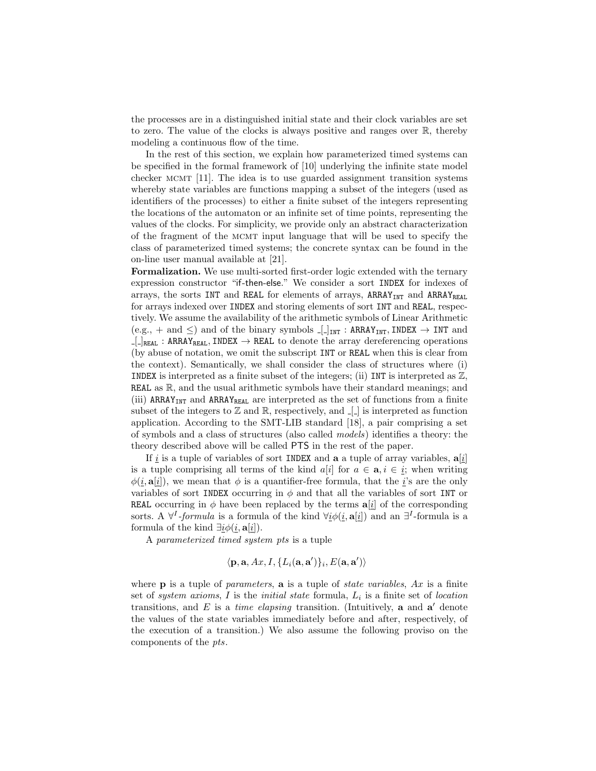the processes are in a distinguished initial state and their clock variables are set to zero. The value of the clocks is always positive and ranges over R, thereby modeling a continuous flow of the time.

In the rest of this section, we explain how parameterized timed systems can be specified in the formal framework of [10] underlying the infinite state model checker mcmt [11]. The idea is to use guarded assignment transition systems whereby state variables are functions mapping a subset of the integers (used as identifiers of the processes) to either a finite subset of the integers representing the locations of the automaton or an infinite set of time points, representing the values of the clocks. For simplicity, we provide only an abstract characterization of the fragment of the mcmt input language that will be used to specify the class of parameterized timed systems; the concrete syntax can be found in the on-line user manual available at [21].

Formalization. We use multi-sorted first-order logic extended with the ternary expression constructor "if-then-else." We consider a sort INDEX for indexes of arrays, the sorts INT and REAL for elements of arrays,  $ARRAY_{INT}$  and  $ARRAY_{REAL}$ for arrays indexed over INDEX and storing elements of sort INT and REAL, respectively. We assume the availability of the arithmetic symbols of Linear Arithmetic  $(e.g., + \text{ and } \leq)$  and of the binary symbols  $[-]_{INT} : ARRAY_{INT}$ , INDEX  $\rightarrow$  INT and  $[-]_{REAL}$ : ARRAY<sub>REAL</sub>, INDEX  $\rightarrow$  REAL to denote the array dereferencing operations (by abuse of notation, we omit the subscript INT or REAL when this is clear from the context). Semantically, we shall consider the class of structures where (i) INDEX is interpreted as a finite subset of the integers; (ii) INT is interpreted as  $\mathbb{Z}$ , REAL as  $\mathbb{R}$ , and the usual arithmetic symbols have their standard meanings; and (iii)  $ARRAY_{INT}$  and  $ARRAY_{REAL}$  are interpreted as the set of functions from a finite subset of the integers to  $\mathbb Z$  and  $\mathbb R$ , respectively, and  $\Box$  is interpreted as function application. According to the SMT-LIB standard [18], a pair comprising a set of symbols and a class of structures (also called models) identifies a theory: the theory described above will be called PTS in the rest of the paper.

If i is a tuple of variables of sort INDEX and **a** a tuple of array variables,  $a[i]$ is a tuple comprising all terms of the kind  $a[i]$  for  $a \in \mathbf{a}, i \in i$ ; when writing  $\phi(\underline{i}, \mathbf{a}[\underline{i}]),$  we mean that  $\phi$  is a quantifier-free formula, that the *i*'s are the only variables of sort INDEX occurring in  $\phi$  and that all the variables of sort INT or **REAL** occurring in  $\phi$  have been replaced by the terms  $a[i]$  of the corresponding sorts. A  $\forall^{I}$ -formula is a formula of the kind  $\forall i \phi(i, \mathbf{a}[i])$  and an  $\exists^{I}$ -formula is a formula of the kind  $\exists i \phi(i, \mathbf{a}[i])$ .

A parameterized timed system pts is a tuple

$$
\langle \mathbf{p}, \mathbf{a}, Ax, I, \{L_i(\mathbf{a}, \mathbf{a}')\}_i, E(\mathbf{a}, \mathbf{a}')\rangle
$$

where  $\bf{p}$  is a tuple of parameters,  $\bf{a}$  is a tuple of state variables, Ax is a finite set of system axioms,  $I$  is the *initial state* formula,  $L_i$  is a finite set of *location* transitions, and  $E$  is a *time elapsing* transition. (Intuitively, **a** and **a**' denote the values of the state variables immediately before and after, respectively, of the execution of a transition.) We also assume the following proviso on the components of the pts.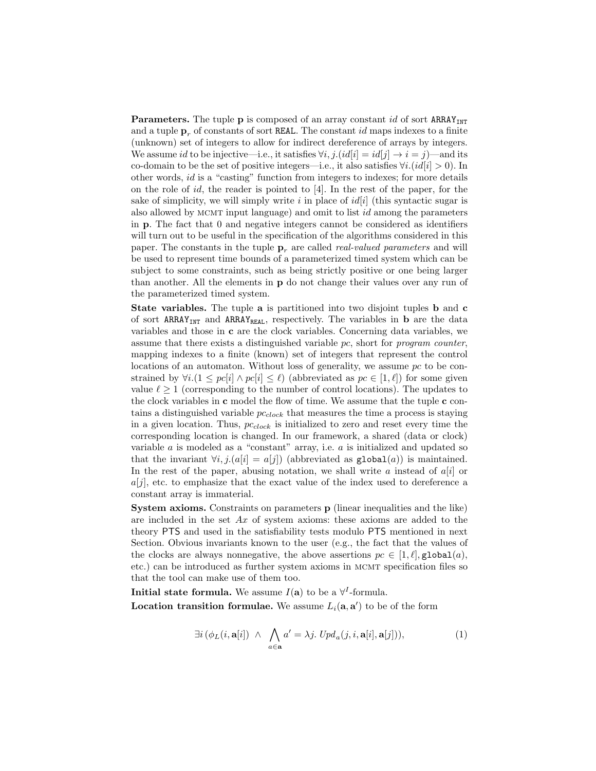**Parameters.** The tuple **p** is composed of an array constant id of sort  $ARRAY_{INT}$ and a tuple  $\mathbf{p}_r$  of constants of sort REAL. The constant id maps indexes to a finite (unknown) set of integers to allow for indirect dereference of arrays by integers. We assume id to be injective—i.e., it satisfies  $\forall i, j. (id[i] = id[j] \rightarrow i = j)$ —and its co-domain to be the set of positive integers—i.e., it also satisfies  $\forall i. (id[i] > 0)$ . In other words, id is a "casting" function from integers to indexes; for more details on the role of id, the reader is pointed to [4]. In the rest of the paper, for the sake of simplicity, we will simply write i in place of  $id[i]$  (this syntactic sugar is also allowed by mcmt input language) and omit to list id among the parameters in p. The fact that 0 and negative integers cannot be considered as identifiers will turn out to be useful in the specification of the algorithms considered in this paper. The constants in the tuple  $p<sub>r</sub>$  are called *real-valued parameters* and will be used to represent time bounds of a parameterized timed system which can be subject to some constraints, such as being strictly positive or one being larger than another. All the elements in p do not change their values over any run of the parameterized timed system.

State variables. The tuple a is partitioned into two disjoint tuples b and c of sort ARRAY<sub>INT</sub> and ARRAY<sub>REAL</sub>, respectively. The variables in **b** are the data variables and those in c are the clock variables. Concerning data variables, we assume that there exists a distinguished variable  $pc$ , short for program counter, mapping indexes to a finite (known) set of integers that represent the control locations of an automaton. Without loss of generality, we assume pc to be constrained by  $\forall i. (1 \leq pc[i] \land pc[i] \leq \ell)$  (abbreviated as  $pc \in [1, \ell]$ ) for some given value  $\ell \geq 1$  (corresponding to the number of control locations). The updates to the clock variables in  $c$  model the flow of time. We assume that the tuple  $c$  contains a distinguished variable  $pc_{clock}$  that measures the time a process is staying in a given location. Thus,  $pc_{clock}$  is initialized to zero and reset every time the corresponding location is changed. In our framework, a shared (data or clock) variable  $a$  is modeled as a "constant" array, i.e.  $a$  is initialized and updated so that the invariant  $\forall i, j.(a[i] = a[j])$  (abbreviated as global(a)) is maintained. In the rest of the paper, abusing notation, we shall write a instead of  $a[i]$  or  $a[j]$ , etc. to emphasize that the exact value of the index used to dereference a constant array is immaterial.

System axioms. Constraints on parameters p (linear inequalities and the like) are included in the set  $Ax$  of system axioms: these axioms are added to the theory PTS and used in the satisfiability tests modulo PTS mentioned in next Section. Obvious invariants known to the user (e.g., the fact that the values of the clocks are always nonnegative, the above assertions  $pc \in [1, \ell],$  global(a), etc.) can be introduced as further system axioms in MCMT specification files so that the tool can make use of them too.

Initial state formula. We assume  $I(\mathbf{a})$  to be a  $\forall^{I}$ -formula.

**Location transition formulae.** We assume  $L_i(\mathbf{a}, \mathbf{a}')$  to be of the form

$$
\exists i (\phi_L(i, \mathbf{a}[i]) \ \land \ \bigwedge_{a \in \mathbf{a}} a' = \lambda j. \ Upd_a(j, i, \mathbf{a}[i], \mathbf{a}[j])),
$$
\n(1)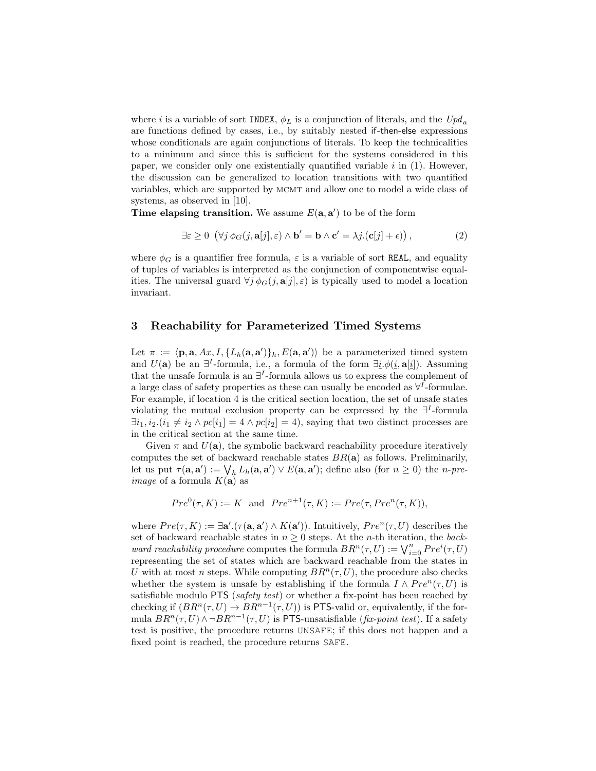where i is a variable of sort INDEX,  $\phi_L$  is a conjunction of literals, and the  $Upd_a$ are functions defined by cases, i.e., by suitably nested if-then-else expressions whose conditionals are again conjunctions of literals. To keep the technicalities to a minimum and since this is sufficient for the systems considered in this paper, we consider only one existentially quantified variable  $i$  in  $(1)$ . However, the discussion can be generalized to location transitions with two quantified variables, which are supported by mcmt and allow one to model a wide class of systems, as observed in [10].

Time elapsing transition. We assume  $E(\mathbf{a}, \mathbf{a}')$  to be of the form

$$
\exists \varepsilon \ge 0 \ (\forall j \ \phi_G(j, \mathbf{a}[j], \varepsilon) \land \mathbf{b}' = \mathbf{b} \land \mathbf{c}' = \lambda j.(\mathbf{c}[j] + \epsilon)), \tag{2}
$$

where  $\phi_G$  is a quantifier free formula,  $\varepsilon$  is a variable of sort REAL, and equality of tuples of variables is interpreted as the conjunction of componentwise equalities. The universal guard  $\forall j \phi_G(j, \mathbf{a}[j], \varepsilon)$  is typically used to model a location invariant.

#### 3 Reachability for Parameterized Timed Systems

Let  $\pi := \langle \mathbf{p}, \mathbf{a}, Ax, I, \{L_h(\mathbf{a}, \mathbf{a}')\}_h, E(\mathbf{a}, \mathbf{a}')\rangle$  be a parameterized timed system and  $U(\mathbf{a})$  be an  $\exists^{I}$ -formula, i.e., a formula of the form  $\exists i.\phi(i,\mathbf{a}[i])$ . Assuming that the unsafe formula is an  $\exists^{I}$ -formula allows us to express the complement of a large class of safety properties as these can usually be encoded as  $\forall^{I}$ -formulae. For example, if location 4 is the critical section location, the set of unsafe states violating the mutual exclusion property can be expressed by the  $\exists^{I}$ -formula  $\exists i_1, i_2. (i_1 \neq i_2 \land pc[i_1] = 4 \land pc[i_2] = 4)$ , saying that two distinct processes are in the critical section at the same time.

Given  $\pi$  and  $U(\mathbf{a})$ , the symbolic backward reachability procedure iteratively computes the set of backward reachable states  $BR(a)$  as follows. Preliminarily, let us put  $\tau(\mathbf{a}, \mathbf{a}') := \bigvee_h L_h(\mathbf{a}, \mathbf{a}') \vee E(\mathbf{a}, \mathbf{a}')$ ; define also (for  $n \geq 0$ ) the *n-preimage* of a formula  $K(\mathbf{a})$  as

$$
Pre^{0}(\tau, K) := K \text{ and } Pre^{n+1}(\tau, K) := Pre(\tau, Pre^{n}(\tau, K)),
$$

where  $Pre(\tau, K) := \exists \mathbf{a}' \cdot (\tau(\mathbf{a}, \mathbf{a}') \wedge K(\mathbf{a}'))$ . Intuitively,  $Pre^n(\tau, U)$  describes the set of backward reachable states in  $n \geq 0$  steps. At the *n*-th iteration, the *back*ward reachability procedure computes the formula  $BR^n(\tau, U) := \bigvee_{i=0}^n Pre^i(\tau, U)$ representing the set of states which are backward reachable from the states in U with at most n steps. While computing  $BR^n(\tau, U)$ , the procedure also checks whether the system is unsafe by establishing if the formula  $I \wedge Pre^n(\tau, U)$  is satisfiable modulo PTS (safety test) or whether a fix-point has been reached by checking if  $(BR^n(\tau, U) \to BR^{n-1}(\tau, U))$  is PTS-valid or, equivalently, if the formula  $BR^n(\tau, U) \wedge \neg BR^{n-1}(\tau, U)$  is PTS-unsatisfiable (*fix-point test*). If a safety test is positive, the procedure returns UNSAFE; if this does not happen and a fixed point is reached, the procedure returns SAFE.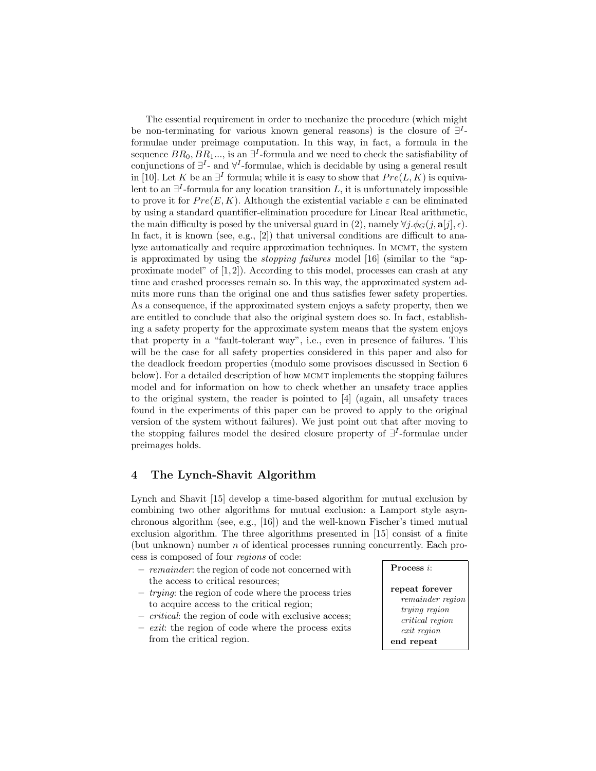The essential requirement in order to mechanize the procedure (which might be non-terminating for various known general reasons) is the closure of  $\exists^{I}$ formulae under preimage computation. In this way, in fact, a formula in the sequence  $BR_0, BR_1, \ldots$ , is an  $\exists^I$ -formula and we need to check the satisfiability of conjunctions of  $\exists^{I}$ - and  $\forall^{I}$ -formulae, which is decidable by using a general result in [10]. Let K be an  $\exists^{I}$  formula; while it is easy to show that  $Pre(L, K)$  is equivalent to an  $\exists^{I}$ -formula for any location transition L, it is unfortunately impossible to prove it for  $Pre(E, K)$ . Although the existential variable  $\varepsilon$  can be eliminated by using a standard quantifier-elimination procedure for Linear Real arithmetic, the main difficulty is posed by the universal guard in (2), namely  $\forall j.\phi_G(j, \mathbf{a}[j], \epsilon)$ . In fact, it is known (see, e.g., [2]) that universal conditions are difficult to analyze automatically and require approximation techniques. In MCMT, the system is approximated by using the stopping failures model [16] (similar to the "approximate model" of  $[1, 2]$ ). According to this model, processes can crash at any time and crashed processes remain so. In this way, the approximated system admits more runs than the original one and thus satisfies fewer safety properties. As a consequence, if the approximated system enjoys a safety property, then we are entitled to conclude that also the original system does so. In fact, establishing a safety property for the approximate system means that the system enjoys that property in a "fault-tolerant way", i.e., even in presence of failures. This will be the case for all safety properties considered in this paper and also for the deadlock freedom properties (modulo some provisoes discussed in Section 6 below). For a detailed description of how MCMT implements the stopping failures model and for information on how to check whether an unsafety trace applies to the original system, the reader is pointed to [4] (again, all unsafety traces found in the experiments of this paper can be proved to apply to the original version of the system without failures). We just point out that after moving to the stopping failures model the desired closure property of ∃<sup>*I*</sup>-formulae under preimages holds.

## 4 The Lynch-Shavit Algorithm

Lynch and Shavit [15] develop a time-based algorithm for mutual exclusion by combining two other algorithms for mutual exclusion: a Lamport style asynchronous algorithm (see, e.g., [16]) and the well-known Fischer's timed mutual exclusion algorithm. The three algorithms presented in [15] consist of a finite (but unknown) number n of identical processes running concurrently. Each process is composed of four regions of code:

- remainder: the region of code not concerned with the access to critical resources;
- trying: the region of code where the process tries to acquire access to the critical region;
- critical: the region of code with exclusive access;
- exit: the region of code where the process exits from the critical region.

#### Process i:

repeat forever remainder region trying region critical region exit region end repeat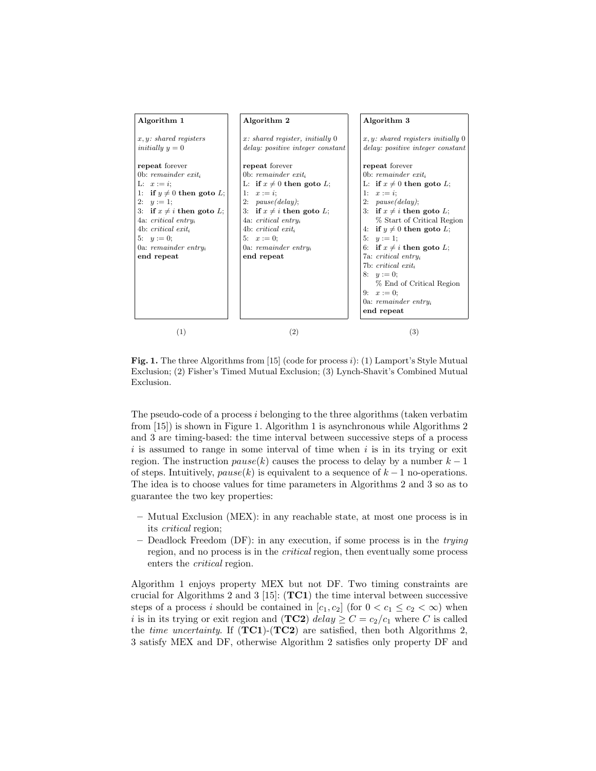

Fig. 1. The three Algorithms from [15] (code for process  $i$ ): (1) Lamport's Style Mutual Exclusion; (2) Fisher's Timed Mutual Exclusion; (3) Lynch-Shavit's Combined Mutual Exclusion.

The pseudo-code of a process  $i$  belonging to the three algorithms (taken verbatim from [15]) is shown in Figure 1. Algorithm 1 is asynchronous while Algorithms 2 and 3 are timing-based: the time interval between successive steps of a process  $i$  is assumed to range in some interval of time when i is in its trying or exit region. The instruction  $pause(k)$  causes the process to delay by a number  $k-1$ of steps. Intuitively,  $pause(k)$  is equivalent to a sequence of  $k-1$  no-operations. The idea is to choose values for time parameters in Algorithms 2 and 3 so as to guarantee the two key properties:

- Mutual Exclusion (MEX): in any reachable state, at most one process is in its critical region;
- Deadlock Freedom (DF): in any execution, if some process is in the *trying* region, and no process is in the critical region, then eventually some process enters the critical region.

Algorithm 1 enjoys property MEX but not DF. Two timing constraints are crucial for Algorithms 2 and 3 [15]:  $(TC1)$  the time interval between successive steps of a process i should be contained in  $[c_1, c_2]$  (for  $0 < c_1 \leq c_2 < \infty$ ) when i is in its trying or exit region and (TC2) delay  $\geq C = c_2/c_1$  where C is called the *time uncertainty*. If  $(TC1)-(TC2)$  are satisfied, then both Algorithms 2, 3 satisfy MEX and DF, otherwise Algorithm 2 satisfies only property DF and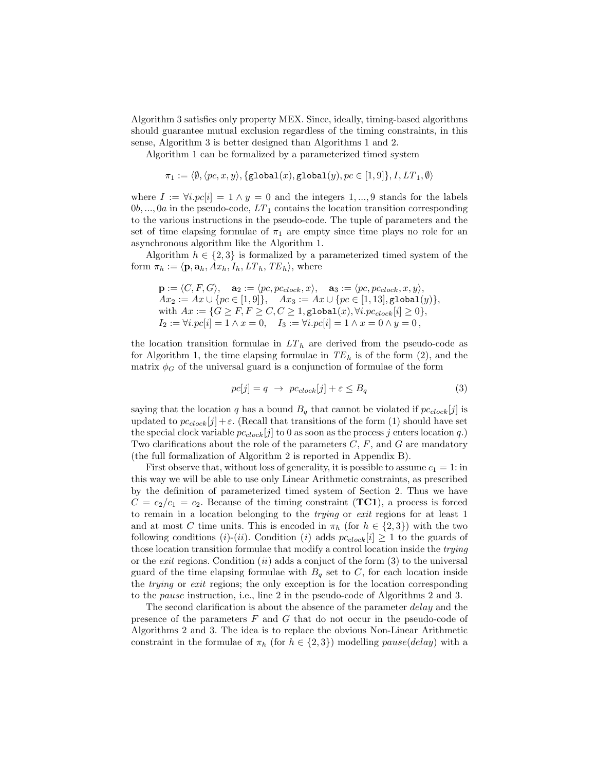Algorithm 3 satisfies only property MEX. Since, ideally, timing-based algorithms should guarantee mutual exclusion regardless of the timing constraints, in this sense, Algorithm 3 is better designed than Algorithms 1 and 2.

Algorithm 1 can be formalized by a parameterized timed system

$$
\pi_1 := \langle \emptyset, \langle pc, x, y \rangle, \{\texttt{global}(x), \texttt{global}(y), pc \in [1, 9]\}, I, LT_1, \emptyset \rangle
$$

where  $I := \forall i. p c[i] = 1 \land y = 0$  and the integers 1, ..., 9 stands for the labels  $0b, ..., 0a$  in the pseudo-code,  $LT_1$  contains the location transition corresponding to the various instructions in the pseudo-code. The tuple of parameters and the set of time elapsing formulae of  $\pi_1$  are empty since time plays no role for an asynchronous algorithm like the Algorithm 1.

Algorithm  $h \in \{2,3\}$  is formalized by a parameterized timed system of the form  $\pi_h := \langle \mathbf{p}, \mathbf{a}_h, Ax_h, I_h, LT_h, TE_h \rangle$ , where

$$
\mathbf{p} := \langle C, F, G \rangle, \quad \mathbf{a}_2 := \langle pc, pc_{clock}, x \rangle, \quad \mathbf{a}_3 := \langle pc, pc_{clock}, x, y \rangle, Ax_2 := Ax \cup \{ pc \in [1, 9] \}, \quad Ax_3 := Ax \cup \{ pc \in [1, 13], \text{global}(y) \}, \text{with } Ax := \{ G \ge F, F \ge C, C \ge 1, \text{global}(x), \forall i. pc_{clock}[i] \ge 0 \}, I_2 := \forall i. pc[i] = 1 \land x = 0, \quad I_3 := \forall i. pc[i] = 1 \land x = 0 \land y = 0,
$$

the location transition formulae in  $LT<sub>h</sub>$  are derived from the pseudo-code as for Algorithm 1, the time elapsing formulae in  $TE<sub>h</sub>$  is of the form (2), and the matrix  $\phi_G$  of the universal guard is a conjunction of formulae of the form

$$
pc[j] = q \rightarrow pc_{clock}[j] + \varepsilon \le B_q \tag{3}
$$

saying that the location q has a bound  $B_q$  that cannot be violated if  $pc_{clock}[j]$  is updated to  $pc_{clock}[j] + \varepsilon$ . (Recall that transitions of the form (1) should have set the special clock variable  $pc_{clock}[j]$  to 0 as soon as the process j enters location q.) Two clarifications about the role of the parameters  $C, F$ , and  $G$  are mandatory (the full formalization of Algorithm 2 is reported in Appendix B).

First observe that, without loss of generality, it is possible to assume  $c_1 = 1$ : in this way we will be able to use only Linear Arithmetic constraints, as prescribed by the definition of parameterized timed system of Section 2. Thus we have  $C = c_2/c_1 = c_2$ . Because of the timing constraint (TC1), a process is forced to remain in a location belonging to the trying or exit regions for at least 1 and at most C time units. This is encoded in  $\pi_h$  (for  $h \in \{2,3\}$ ) with the two following conditions (i)-(ii). Condition (i) adds  $pc_{clock}[i] \geq 1$  to the guards of those location transition formulae that modify a control location inside the *trying* or the *exit* regions. Condition  $(ii)$  adds a conjuct of the form  $(3)$  to the universal guard of the time elapsing formulae with  $B<sub>q</sub>$  set to C, for each location inside the trying or exit regions; the only exception is for the location corresponding to the pause instruction, i.e., line 2 in the pseudo-code of Algorithms 2 and 3.

The second clarification is about the absence of the parameter *delay* and the presence of the parameters  $F$  and  $G$  that do not occur in the pseudo-code of Algorithms 2 and 3. The idea is to replace the obvious Non-Linear Arithmetic constraint in the formulae of  $\pi_h$  (for  $h \in \{2,3\}$ ) modelling pause(delay) with a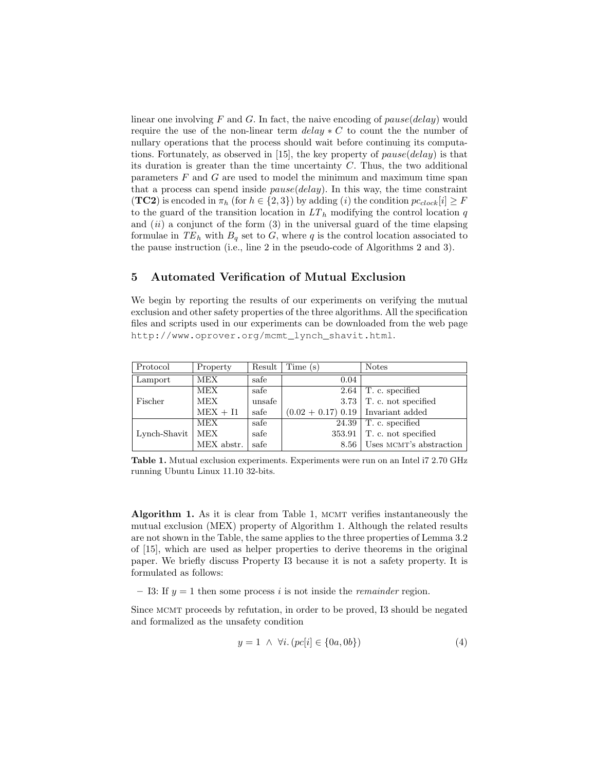linear one involving  $F$  and  $G$ . In fact, the naive encoding of  $pause(delay)$  would require the use of the non-linear term  $delay * C$  to count the the number of nullary operations that the process should wait before continuing its computations. Fortunately, as observed in [15], the key property of pause(delay) is that its duration is greater than the time uncertainty  $C$ . Thus, the two additional parameters  $F$  and  $G$  are used to model the minimum and maximum time span that a process can spend inside  $pause(delay)$ . In this way, the time constraint (TC2) is encoded in  $\pi_h$  (for  $h \in \{2,3\}$ ) by adding (i) the condition  $pc_{clock}[i] \geq F$ to the guard of the transition location in  $LT<sub>h</sub>$  modifying the control location q and  $(ii)$  a conjunct of the form  $(3)$  in the universal guard of the time elapsing formulae in  $TE_h$  with  $B_q$  set to G, where q is the control location associated to the pause instruction (i.e., line 2 in the pseudo-code of Algorithms 2 and 3).

#### 5 Automated Verification of Mutual Exclusion

We begin by reporting the results of our experiments on verifying the mutual exclusion and other safety properties of the three algorithms. All the specification files and scripts used in our experiments can be downloaded from the web page http://www.oprover.org/mcmt\_lynch\_shavit.html.

| Protocol     | Property   | Result | Time (s)                             | <b>Notes</b>            |
|--------------|------------|--------|--------------------------------------|-------------------------|
| Lamport      | <b>MEX</b> | safe   | 0.04                                 |                         |
| Fischer      | <b>MEX</b> | safe   | 2.64                                 | T. c. specified         |
|              | <b>MEX</b> | unsafe | 3.73                                 | T. c. not specified     |
|              | $MEX + I1$ | safe   | $(0.02 + 0.17) 0.19$ Invariant added |                         |
| Lynch-Shavit | <b>MEX</b> | safe   | 24.39                                | T. c. specified         |
|              | <b>MEX</b> | safe   | 353.91                               | T. c. not specified     |
|              | MEX abstr. | safe   | 8.56                                 | Uses MCMT's abstraction |

Table 1. Mutual exclusion experiments. Experiments were run on an Intel i7 2.70 GHz running Ubuntu Linux 11.10 32-bits.

Algorithm 1. As it is clear from Table 1, MCMT verifies instantaneously the mutual exclusion (MEX) property of Algorithm 1. Although the related results are not shown in the Table, the same applies to the three properties of Lemma 3.2 of [15], which are used as helper properties to derive theorems in the original paper. We briefly discuss Property I3 because it is not a safety property. It is formulated as follows:

– I3: If  $y = 1$  then some process i is not inside the *remainder* region.

Since mcmt proceeds by refutation, in order to be proved, I3 should be negated and formalized as the unsafety condition

$$
y = 1 \quad \land \quad \forall i. \ (pc[i] \in \{0a, 0b\}) \tag{4}
$$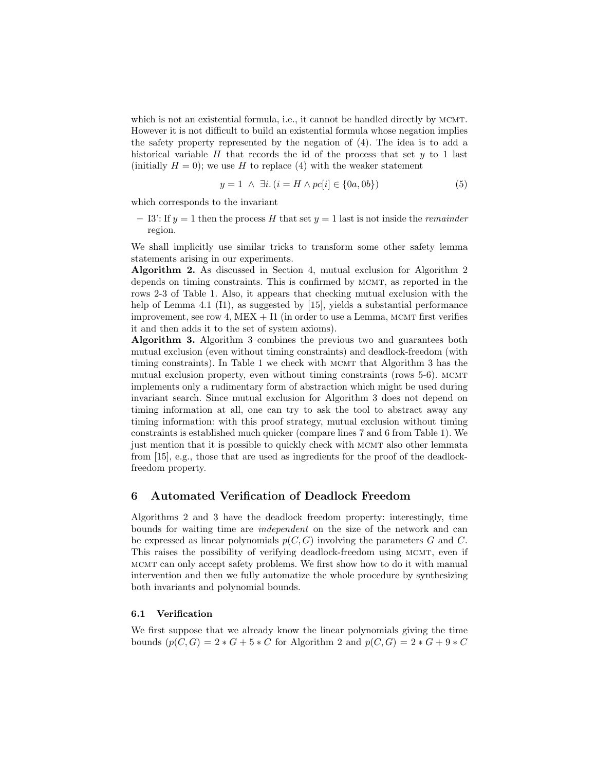which is not an existential formula, i.e., it cannot be handled directly by MCMT. However it is not difficult to build an existential formula whose negation implies the safety property represented by the negation of (4). The idea is to add a historical variable  $H$  that records the id of the process that set  $y$  to 1 last (initially  $H = 0$ ); we use H to replace (4) with the weaker statement

$$
y = 1 \ \land \ \exists i. \ (i = H \land pc[i] \in \{0a, 0b\}) \tag{5}
$$

which corresponds to the invariant

– I3': If  $y = 1$  then the process H that set  $y = 1$  last is not inside the *remainder* region.

We shall implicitly use similar tricks to transform some other safety lemma statements arising in our experiments.

Algorithm 2. As discussed in Section 4, mutual exclusion for Algorithm 2 depends on timing constraints. This is confirmed by MCMT, as reported in the rows 2-3 of Table 1. Also, it appears that checking mutual exclusion with the help of Lemma 4.1 (I1), as suggested by [15], yields a substantial performance improvement, see row  $4$ , MEX  $+$  I1 (in order to use a Lemma, MCMT first verifies it and then adds it to the set of system axioms).

Algorithm 3. Algorithm 3 combines the previous two and guarantees both mutual exclusion (even without timing constraints) and deadlock-freedom (with timing constraints). In Table 1 we check with MCMT that Algorithm 3 has the mutual exclusion property, even without timing constraints (rows 5-6). MCMT implements only a rudimentary form of abstraction which might be used during invariant search. Since mutual exclusion for Algorithm 3 does not depend on timing information at all, one can try to ask the tool to abstract away any timing information: with this proof strategy, mutual exclusion without timing constraints is established much quicker (compare lines 7 and 6 from Table 1). We just mention that it is possible to quickly check with mcmt also other lemmata from [15], e.g., those that are used as ingredients for the proof of the deadlockfreedom property.

#### 6 Automated Verification of Deadlock Freedom

Algorithms 2 and 3 have the deadlock freedom property: interestingly, time bounds for waiting time are independent on the size of the network and can be expressed as linear polynomials  $p(C, G)$  involving the parameters G and C. This raises the possibility of verifying deadlock-freedom using mcmt, even if mcmt can only accept safety problems. We first show how to do it with manual intervention and then we fully automatize the whole procedure by synthesizing both invariants and polynomial bounds.

#### 6.1 Verification

We first suppose that we already know the linear polynomials giving the time bounds  $(p(C, G) = 2 * G + 5 * C$  for Algorithm 2 and  $p(C, G) = 2 * G + 9 * C$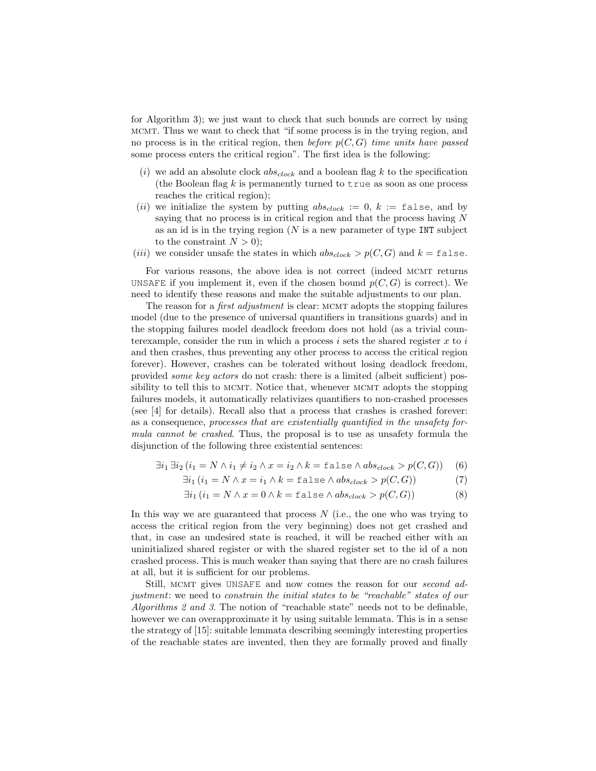for Algorithm 3); we just want to check that such bounds are correct by using mcmt. Thus we want to check that "if some process is in the trying region, and no process is in the critical region, then before  $p(C, G)$  time units have passed some process enters the critical region". The first idea is the following:

- (i) we add an absolute clock  $\text{abs}_{clock}$  and a boolean flag k to the specification (the Boolean flag  $k$  is permanently turned to true as soon as one process reaches the critical region);
- (ii) we initialize the system by putting  $abs_{clock} := 0, k := \text{false}$ , and by saying that no process is in critical region and that the process having N as an id is in the trying region  $(N$  is a new parameter of type INT subject to the constraint  $N > 0$ ;
- (*iii*) we consider unsafe the states in which  $abs_{clock} > p(C, G)$  and  $k = false$ .

For various reasons, the above idea is not correct (indeed MCMT returns UNSAFE if you implement it, even if the chosen bound  $p(C, G)$  is correct). We need to identify these reasons and make the suitable adjustments to our plan.

The reason for a *first adjustment* is clear: MCMT adopts the stopping failures model (due to the presence of universal quantifiers in transitions guards) and in the stopping failures model deadlock freedom does not hold (as a trivial counterexample, consider the run in which a process  $i$  sets the shared register  $x$  to  $i$ and then crashes, thus preventing any other process to access the critical region forever). However, crashes can be tolerated without losing deadlock freedom, provided some key actors do not crash: there is a limited (albeit sufficient) possibility to tell this to MCMT. Notice that, whenever MCMT adopts the stopping failures models, it automatically relativizes quantifiers to non-crashed processes (see [4] for details). Recall also that a process that crashes is crashed forever: as a consequence, processes that are existentially quantified in the unsafety formula cannot be crashed. Thus, the proposal is to use as unsafety formula the disjunction of the following three existential sentences:

$$
\exists i_1 \, \exists i_2 \, (i_1 = N \land i_1 \neq i_2 \land x = i_2 \land k = \text{false} \land abs_{clock} > p(C, G) \tag{6}
$$

$$
\exists i_1 (i_1 = N \land x = i_1 \land k = \text{false} \land abs_{clock} > p(C, G))
$$
\n(7)

$$
\exists i_1 (i_1 = N \land x = 0 \land k = \text{false} \land abs_{clock} > p(C, G))
$$
\n(8)

In this way we are guaranteed that process  $N$  (i.e., the one who was trying to access the critical region from the very beginning) does not get crashed and that, in case an undesired state is reached, it will be reached either with an uninitialized shared register or with the shared register set to the id of a non crashed process. This is much weaker than saying that there are no crash failures at all, but it is sufficient for our problems.

Still, MCMT gives UNSAFE and now comes the reason for our second adjustment: we need to constrain the initial states to be "reachable" states of our Algorithms 2 and 3. The notion of "reachable state" needs not to be definable, however we can overapproximate it by using suitable lemmata. This is in a sense the strategy of [15]: suitable lemmata describing seemingly interesting properties of the reachable states are invented, then they are formally proved and finally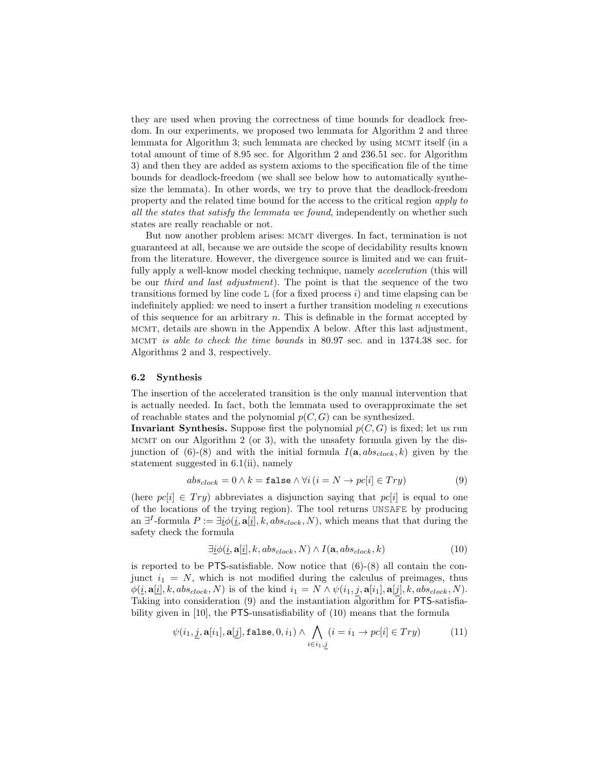they are used when proving the correctness of time bounds for deadlock freedom. In our experiments, we proposed two lemmata for Algorithm 2 and three lemmata for Algorithm 3; such lemmata are checked by using MCMT itself (in a total amount of time of 8.95 sec. for Algorithm 2 and 236.51 sec. for Algorithm 3) and then they are added as system axioms to the specification file of the time bounds for deadlock-freedom (we shall see below how to automatically synthesize the lemmata). In other words, we try to prove that the deadlock-freedom property and the related time bound for the access to the critical region apply to all the states that satisfy the lemmata we found, independently on whether such states are really reachable or not.

But now another problem arises: MCMT diverges. In fact, termination is not guaranteed at all, because we are outside the scope of decidability results known from the literature. However, the divergence source is limited and we can fruitfully apply a well-know model checking technique, namely *acceleration* (this will be our third and last adjustment). The point is that the sequence of the two transitions formed by line code  $\mathbb{L}$  (for a fixed process i) and time elapsing can be indefinitely applied: we need to insert a further transition modeling  $n$  executions of this sequence for an arbitrary  $n$ . This is definable in the format accepted by mcmt, details are shown in the Appendix A below. After this last adjustment, mcmt is able to check the time bounds in 80.97 sec. and in 1374.38 sec. for Algorithms 2 and 3, respectively.

#### 6.2 Synthesis

The insertion of the accelerated transition is the only manual intervention that is actually needed. In fact, both the lemmata used to overapproximate the set of reachable states and the polynomial  $p(C, G)$  can be synthesized.

**Invariant Synthesis.** Suppose first the polynomial  $p(C, G)$  is fixed; let us run MCMT on our Algorithm 2 (or 3), with the unsafety formula given by the disjunction of (6)-(8) and with the initial formula  $I(a, abs_{clock}, k)$  given by the statement suggested in 6.1(ii), namely

$$
abs_{clock} = 0 \land k = \mathtt{false} \land \forall i \left( i = N \to pc[i] \in Try \right) \tag{9}
$$

(here  $pc[i] \in Try$ ) abbreviates a disjunction saying that  $pc[i]$  is equal to one of the locations of the trying region). The tool returns UNSAFE by producing an  $\exists^{I}$ -formula  $P := \exists \underline{i} \phi(\underline{i}, \mathbf{a}[\underline{i}], k, abs_{clock}, N)$ , which means that that during the safety check the formula

$$
\exists \underline{i}\phi(\underline{i}, \mathbf{a}[\underline{i}], k, abs_{clock}, N) \land I(\mathbf{a}, abs_{clock}, k) \tag{10}
$$

is reported to be  $PTS$ -satisfiable. Now notice that  $(6)-(8)$  all contain the conjunct  $i_1 = N$ , which is not modified during the calculus of preimages, thus  $\phi(\underline{i}, \mathbf{a}[\underline{i}], k, abs_{clock}, N)$  is of the kind  $i_1 = N \wedge \psi(i_1, j, \mathbf{a}[i_1], \mathbf{a}[j], k, abs_{clock}, N)$ . Taking into consideration (9) and the instantiation algorithm for PTS-satisfiability given in [10], the PTS-unsatisfiability of (10) means that the formula

$$
\psi(i_1, \underline{j}, \mathbf{a}[i_1], \mathbf{a}[\underline{j}], \mathtt{false}, 0, i_1) \wedge \bigwedge_{i \in i_1, \underline{j}} (i = i_1 \to pc[i] \in Try)
$$
(11)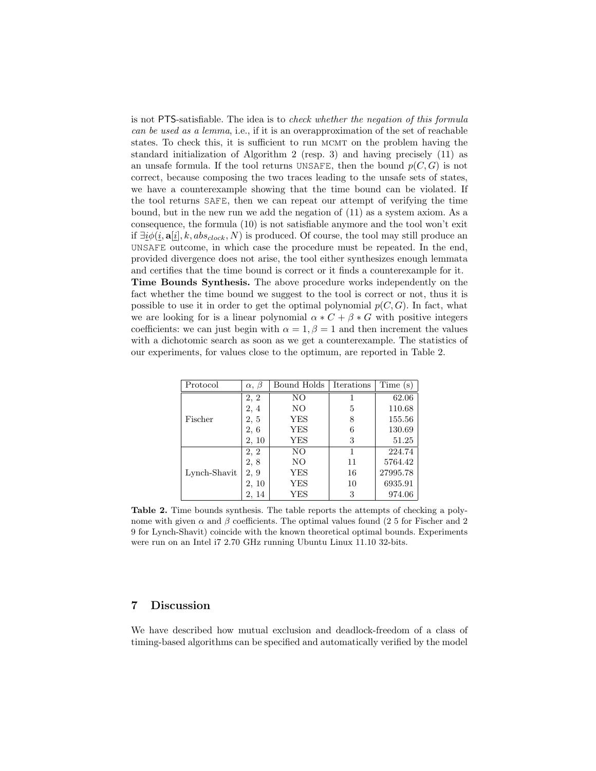is not PTS-satisfiable. The idea is to check whether the negation of this formula can be used as a lemma, i.e., if it is an overapproximation of the set of reachable states. To check this, it is sufficient to run MCMT on the problem having the standard initialization of Algorithm 2 (resp. 3) and having precisely (11) as an unsafe formula. If the tool returns UNSAFE, then the bound  $p(C, G)$  is not correct, because composing the two traces leading to the unsafe sets of states, we have a counterexample showing that the time bound can be violated. If the tool returns SAFE, then we can repeat our attempt of verifying the time bound, but in the new run we add the negation of (11) as a system axiom. As a consequence, the formula (10) is not satisfiable anymore and the tool won't exit if  $\exists i \phi(i, \mathbf{a}[i], k, abs_{clock}, N)$  is produced. Of course, the tool may still produce an UNSAFE outcome, in which case the procedure must be repeated. In the end, provided divergence does not arise, the tool either synthesizes enough lemmata and certifies that the time bound is correct or it finds a counterexample for it. Time Bounds Synthesis. The above procedure works independently on the fact whether the time bound we suggest to the tool is correct or not, thus it is possible to use it in order to get the optimal polynomial  $p(C, G)$ . In fact, what we are looking for is a linear polynomial  $\alpha * C + \beta * G$  with positive integers coefficients: we can just begin with  $\alpha = 1, \beta = 1$  and then increment the values with a dichotomic search as soon as we get a counterexample. The statistics of our experiments, for values close to the optimum, are reported in Table 2.

| Protocol<br>$\alpha, \beta$ |       | Bound Holds | Iterations | Time (s) |
|-----------------------------|-------|-------------|------------|----------|
|                             | 2, 2  | NO          | 1          | 62.06    |
|                             | 2, 4  | NO          | 5          | 110.68   |
| Fischer                     | 2, 5  | YES         | 8          | 155.56   |
|                             | 2,6   | YES         | 6          | 130.69   |
|                             | 2, 10 | YES         | 3          | 51.25    |
|                             | 2, 2  | NO          | 1          | 224.74   |
|                             | 2, 8  | NO          | 11         | 5764.42  |
| Lynch-Shavit                | 2, 9  | YES         | 16         | 27995.78 |
|                             | 2, 10 | YES         | 10         | 6935.91  |
|                             | 2, 14 | YES         | 3          | 974.06   |

Table 2. Time bounds synthesis. The table reports the attempts of checking a polynome with given  $\alpha$  and  $\beta$  coefficients. The optimal values found (2.5 for Fischer and 2. 9 for Lynch-Shavit) coincide with the known theoretical optimal bounds. Experiments were run on an Intel i7 2.70 GHz running Ubuntu Linux 11.10 32-bits.

## 7 Discussion

We have described how mutual exclusion and deadlock-freedom of a class of timing-based algorithms can be specified and automatically verified by the model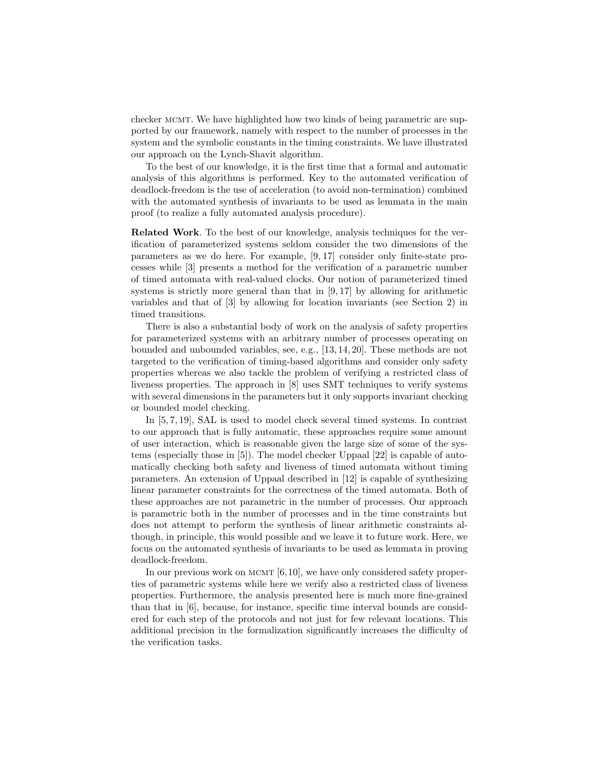checker mcmt. We have highlighted how two kinds of being parametric are supported by our framework, namely with respect to the number of processes in the system and the symbolic constants in the timing constraints. We have illustrated our approach on the Lynch-Shavit algorithm.

To the best of our knowledge, it is the first time that a formal and automatic analysis of this algorithms is performed. Key to the automated verification of deadlock-freedom is the use of acceleration (to avoid non-termination) combined with the automated synthesis of invariants to be used as lemmata in the main proof (to realize a fully automated analysis procedure).

Related Work. To the best of our knowledge, analysis techniques for the verification of parameterized systems seldom consider the two dimensions of the parameters as we do here. For example, [9, 17] consider only finite-state processes while [3] presents a method for the verification of a parametric number of timed automata with real-valued clocks. Our notion of parameterized timed systems is strictly more general than that in [9, 17] by allowing for arithmetic variables and that of [3] by allowing for location invariants (see Section 2) in timed transitions.

There is also a substantial body of work on the analysis of safety properties for parameterized systems with an arbitrary number of processes operating on bounded and unbounded variables, see, e.g., [13, 14, 20]. These methods are not targeted to the verification of timing-based algorithms and consider only safety properties whereas we also tackle the problem of verifying a restricted class of liveness properties. The approach in [8] uses SMT techniques to verify systems with several dimensions in the parameters but it only supports invariant checking or bounded model checking.

In [5, 7, 19], SAL is used to model check several timed systems. In contrast to our approach that is fully automatic, these approaches require some amount of user interaction, which is reasonable given the large size of some of the systems (especially those in [5]). The model checker Uppaal [22] is capable of automatically checking both safety and liveness of timed automata without timing parameters. An extension of Uppaal described in [12] is capable of synthesizing linear parameter constraints for the correctness of the timed automata. Both of these approaches are not parametric in the number of processes. Our approach is parametric both in the number of processes and in the time constraints but does not attempt to perform the synthesis of linear arithmetic constraints although, in principle, this would possible and we leave it to future work. Here, we focus on the automated synthesis of invariants to be used as lemmata in proving deadlock-freedom.

In our previous work on MCMT  $[6,10]$ , we have only considered safety properties of parametric systems while here we verify also a restricted class of liveness properties. Furthermore, the analysis presented here is much more fine-grained than that in [6], because, for instance, specific time interval bounds are considered for each step of the protocols and not just for few relevant locations. This additional precision in the formalization significantly increases the difficulty of the verification tasks.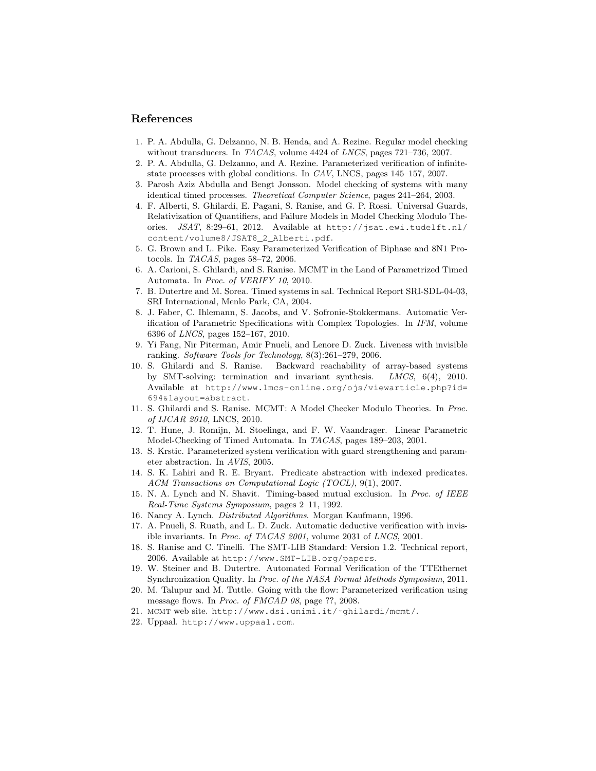#### References

- 1. P. A. Abdulla, G. Delzanno, N. B. Henda, and A. Rezine. Regular model checking without transducers. In TACAS, volume 4424 of LNCS, pages 721-736, 2007.
- 2. P. A. Abdulla, G. Delzanno, and A. Rezine. Parameterized verification of infinitestate processes with global conditions. In CAV, LNCS, pages 145–157, 2007.
- 3. Parosh Aziz Abdulla and Bengt Jonsson. Model checking of systems with many identical timed processes. Theoretical Computer Science, pages 241–264, 2003.
- 4. F. Alberti, S. Ghilardi, E. Pagani, S. Ranise, and G. P. Rossi. Universal Guards, Relativization of Quantifiers, and Failure Models in Model Checking Modulo Theories. JSAT, 8:29–61, 2012. Available at http://jsat.ewi.tudelft.nl/ content/volume8/JSAT8\_2\_Alberti.pdf.
- 5. G. Brown and L. Pike. Easy Parameterized Verification of Biphase and 8N1 Protocols. In TACAS, pages  $58-72$ , 2006.
- 6. A. Carioni, S. Ghilardi, and S. Ranise. MCMT in the Land of Parametrized Timed Automata. In Proc. of VERIFY 10, 2010.
- 7. B. Dutertre and M. Sorea. Timed systems in sal. Technical Report SRI-SDL-04-03, SRI International, Menlo Park, CA, 2004.
- 8. J. Faber, C. Ihlemann, S. Jacobs, and V. Sofronie-Stokkermans. Automatic Verification of Parametric Specifications with Complex Topologies. In IFM, volume 6396 of LNCS, pages 152–167, 2010.
- 9. Yi Fang, Nir Piterman, Amir Pnueli, and Lenore D. Zuck. Liveness with invisible ranking. Software Tools for Technology, 8(3):261–279, 2006.
- 10. S. Ghilardi and S. Ranise. Backward reachability of array-based systems by SMT-solving: termination and invariant synthesis. LMCS, 6(4), 2010. Available at http://www.lmcs-online.org/ojs/viewarticle.php?id= 694&layout=abstract.
- 11. S. Ghilardi and S. Ranise. MCMT: A Model Checker Modulo Theories. In Proc. of IJCAR 2010, LNCS, 2010.
- 12. T. Hune, J. Romijn, M. Stoelinga, and F. W. Vaandrager. Linear Parametric Model-Checking of Timed Automata. In TACAS, pages 189–203, 2001.
- 13. S. Krstic. Parameterized system verification with guard strengthening and parameter abstraction. In AVIS, 2005.
- 14. S. K. Lahiri and R. E. Bryant. Predicate abstraction with indexed predicates. ACM Transactions on Computational Logic (TOCL), 9(1), 2007.
- 15. N. A. Lynch and N. Shavit. Timing-based mutual exclusion. In Proc. of IEEE Real-Time Systems Symposium, pages 2–11, 1992.
- 16. Nancy A. Lynch. Distributed Algorithms. Morgan Kaufmann, 1996.
- 17. A. Pnueli, S. Ruath, and L. D. Zuck. Automatic deductive verification with invisible invariants. In Proc. of TACAS 2001, volume 2031 of LNCS, 2001.
- 18. S. Ranise and C. Tinelli. The SMT-LIB Standard: Version 1.2. Technical report, 2006. Available at http://www.SMT-LIB.org/papers.
- 19. W. Steiner and B. Dutertre. Automated Formal Verification of the TTEthernet Synchronization Quality. In Proc. of the NASA Formal Methods Symposium, 2011.
- 20. M. Talupur and M. Tuttle. Going with the flow: Parameterized verification using message flows. In *Proc. of FMCAD 08*, page ??, 2008.
- 21. mcmt web site. http://www.dsi.unimi.it/˜ghilardi/mcmt/.
- 22. Uppaal. http://www.uppaal.com.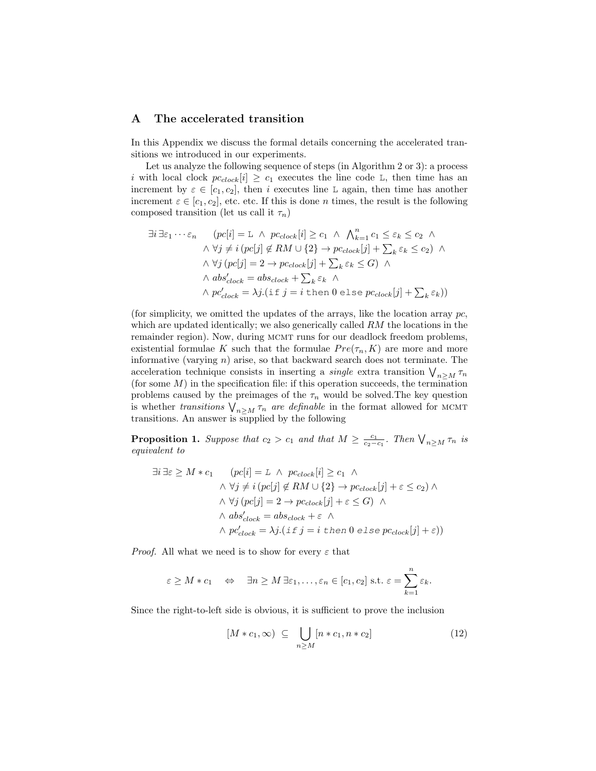#### A The accelerated transition

In this Appendix we discuss the formal details concerning the accelerated transitions we introduced in our experiments.

Let us analyze the following sequence of steps (in Algorithm 2 or 3): a process i with local clock  $pc_{clock}[i] \geq c_1$  executes the line code L, then time has an increment by  $\varepsilon \in [c_1, c_2]$ , then i executes line L again, then time has another increment  $\varepsilon \in [c_1, c_2]$ , etc. etc. If this is done *n* times, the result is the following composed transition (let us call it  $\tau_n$ )

$$
\exists i \,\exists \varepsilon_1 \cdots \varepsilon_n \qquad (pc[i] = \mathbf{L} \ \land \ pc_{clock}[i] \ge c_1 \ \land \ \bigwedge_{k=1}^n c_1 \le \varepsilon_k \le c_2 \ \land \ \land \ \forall j \neq i \, (pc[j] \notin RM \cup \{2\} \rightarrow pc_{clock}[j] + \sum_k \varepsilon_k \le c_2) \ \land \ \land \ \forall j \, (pc[j] = 2 \rightarrow pc_{clock}[j] + \sum_k \varepsilon_k \le G) \ \land \ \land \ abs'_{clock} = abs_{clock} + \sum_k \varepsilon_k \ \land \ \land \ pc'_{clock} = \lambda j. (\text{if } j = i \text{ then } 0 \text{ else } pc_{clock}[j] + \sum_k \varepsilon_k))
$$

(for simplicity, we omitted the updates of the arrays, like the location array  $pc$ , which are updated identically; we also generically called RM the locations in the remainder region). Now, during MCMT runs for our deadlock freedom problems, existential formulae K such that the formulae  $Pre(\tau_n, K)$  are more and more informative (varying  $n$ ) arise, so that backward search does not terminate. The acceleration technique consists in inserting a *single* extra transition  $V_{n \geq M} \tau_n$ (for some  $M$ ) in the specification file: if this operation succeeds, the termination problems caused by the preimages of the  $\tau_n$  would be solved. The key question is whether transitions  $\bigvee_{n \geq M} \tau_n$  are definable in the format allowed for MCMT transitions. An answer is supplied by the following

**Proposition 1.** Suppose that  $c_2 > c_1$  and that  $M \geq \frac{c_1}{c_2-c_1}$ . Then  $\bigvee_{n \geq M} \tau_n$  is equivalent to

$$
\exists i \exists \varepsilon \ge M * c_1 \qquad (pc[i] = L \land pc_{clock}[i] \ge c_1 \land \land \forall j \ne i (pc[j] \notin RM \cup \{2\} \to pc_{clock}[j] + \varepsilon \le c_2) \land \land \forall j (pc[j] = 2 \to pc_{clock}[j] + \varepsilon \le G) \land \land abs'_{clock} = abs_{clock} + \varepsilon \land \land pc'_{clock} = \lambda j.(if \ j = i \ then \ 0 \ else pc_{clock}[j] + \varepsilon))
$$

*Proof.* All what we need is to show for every  $\varepsilon$  that

$$
\varepsilon \geq M * c_1 \Leftrightarrow \exists n \geq M \exists \varepsilon_1, \ldots, \varepsilon_n \in [c_1, c_2] \text{ s.t. } \varepsilon = \sum_{k=1}^n \varepsilon_k.
$$

Since the right-to-left side is obvious, it is sufficient to prove the inclusion

$$
[M * c_1, \infty) \subseteq \bigcup_{n \ge M} [n * c_1, n * c_2]
$$
 (12)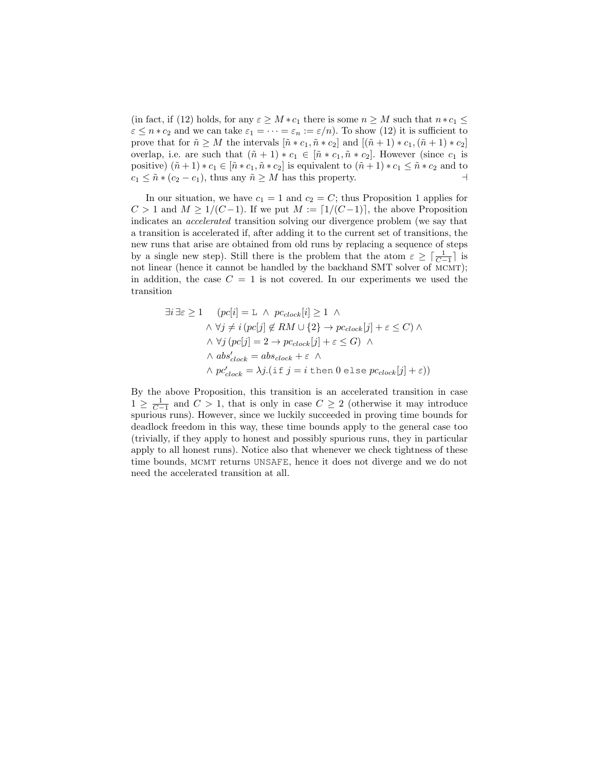(in fact, if (12) holds, for any  $\varepsilon \geq M * c_1$  there is some  $n \geq M$  such that  $n * c_1 \leq$  $\varepsilon \leq n * c_2$  and we can take  $\varepsilon_1 = \cdots = \varepsilon_n := \varepsilon/n$ . To show (12) it is sufficient to prove that for  $\tilde{n} \geq M$  the intervals  $[\tilde{n} * c_1, \tilde{n} * c_2]$  and  $[(\tilde{n} + 1) * c_1, (\tilde{n} + 1) * c_2]$ overlap, i.e. are such that  $(\tilde{n} + 1) * c_1 \in [\tilde{n} * c_1, \tilde{n} * c_2]$ . However (since  $c_1$  is positive)  $(\tilde{n} + 1) * c_1 \in [\tilde{n} * c_1, \tilde{n} * c_2]$  is equivalent to  $(\tilde{n} + 1) * c_1 \leq \tilde{n} * c_2$  and to  $c_1 \leq \tilde{n} * (c_2 - c_1)$ , thus any  $\tilde{n} \geq M$  has this property.

In our situation, we have  $c_1 = 1$  and  $c_2 = C$ ; thus Proposition 1 applies for  $C > 1$  and  $M \geq 1/(C-1)$ . If we put  $M := [1/(C-1)]$ , the above Proposition indicates an accelerated transition solving our divergence problem (we say that a transition is accelerated if, after adding it to the current set of transitions, the new runs that arise are obtained from old runs by replacing a sequence of steps by a single new step). Still there is the problem that the atom  $\varepsilon \geq \lceil \frac{1}{C-1} \rceil$  is not linear (hence it cannot be handled by the backhand SMT solver of MCMT); in addition, the case  $C = 1$  is not covered. In our experiments we used the transition

$$
\exists i \exists \varepsilon \ge 1 \qquad (pc[i] = \bot \wedge pc_{clock}[i] \ge 1 \wedge \negthickspace \wedge \forall j \ne i (pc[j] \notin RM \cup \{2\} \rightarrow pc_{clock}[j] + \varepsilon \le C) \wedge \negthickspace \wedge \forall j (pc[j] = 2 \rightarrow pc_{clock}[j] + \varepsilon \le G) \wedge \negthickspace \wedge abs_{clock}^{\prime} = abs_{clock} + \varepsilon \wedge \negthickspace \wedge pc_{clock}^{\prime} = \lambda j. (\text{if } j = i \text{ then } 0 \text{ else } pc_{clock}[j] + \varepsilon))
$$

By the above Proposition, this transition is an accelerated transition in case  $1 \geq \frac{1}{C-1}$  and  $C > 1$ , that is only in case  $C \geq 2$  (otherwise it may introduce spurious runs). However, since we luckily succeeded in proving time bounds for deadlock freedom in this way, these time bounds apply to the general case too (trivially, if they apply to honest and possibly spurious runs, they in particular apply to all honest runs). Notice also that whenever we check tightness of these time bounds, mcmt returns UNSAFE, hence it does not diverge and we do not need the accelerated transition at all.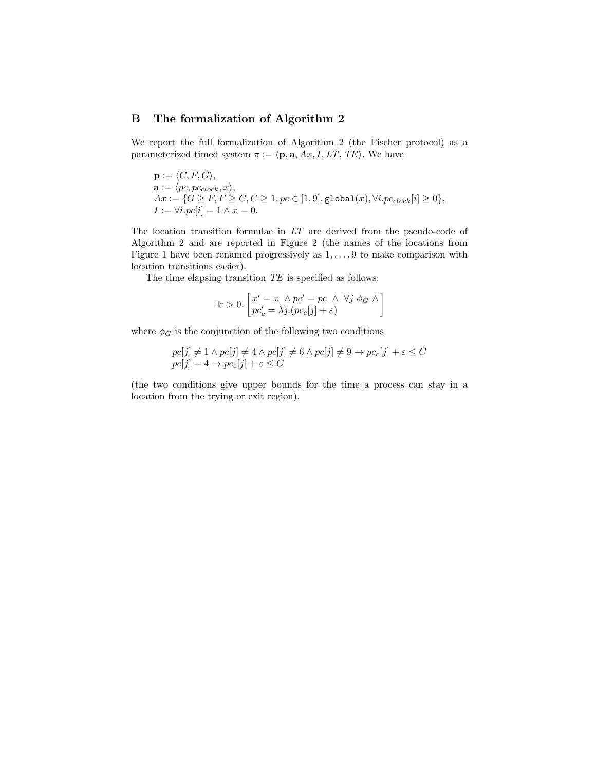## B The formalization of Algorithm 2

We report the full formalization of Algorithm 2 (the Fischer protocol) as a parameterized timed system  $\pi := \langle \mathbf{p}, \mathbf{a}, Ax, I, LT, TE \rangle$ . We have

$$
\mathbf{p} := \langle C, F, G \rangle,
$$
  
\n
$$
\mathbf{a} := \langle pc, pc_{clock}, x \rangle,
$$
  
\n
$$
Ax := \{ G \ge F, F \ge C, C \ge 1, pc \in [1, 9], \text{global}(x), \forall i. pc_{clock}[i] \ge 0 \},
$$
  
\n
$$
I := \forall i. pc[i] = 1 \land x = 0.
$$

The location transition formulae in  $LT$  are derived from the pseudo-code of Algorithm 2 and are reported in Figure 2 (the names of the locations from Figure 1 have been renamed progressively as  $1, \ldots, 9$  to make comparison with location transitions easier).

The time elapsing transition  $TE$  is specified as follows:

$$
\exists \varepsilon > 0. \left[ \begin{matrix} x' = x \ \land \, pc' = pc \ \land \ \forall j \ \phi_G \ \land \\ pc'_c = \lambda j.(pc_c[j] + \varepsilon) \end{matrix} \right]
$$

where  $\phi_G$  is the conjunction of the following two conditions

$$
pc[j] \neq 1 \land pc[j] \neq 4 \land pc[j] \neq 6 \land pc[j] \neq 9 \to pc_c[j] + \varepsilon \leq C
$$
  

$$
pc[j] = 4 \to pc_c[j] + \varepsilon \leq G
$$

(the two conditions give upper bounds for the time a process can stay in a location from the trying or exit region).